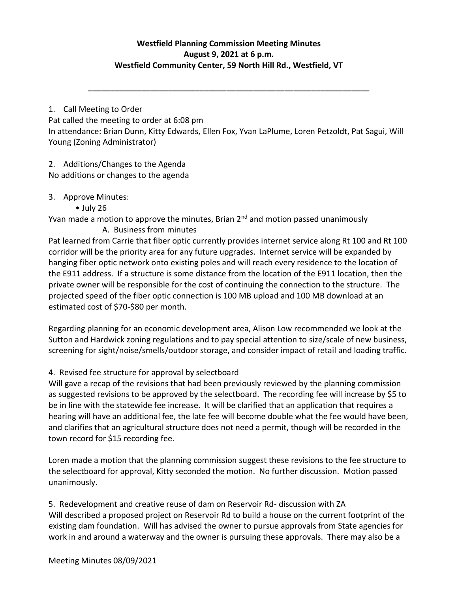## **Westfield Planning Commission Meeting Minutes August 9, 2021 at 6 p.m. Westfield Community Center, 59 North Hill Rd., Westfield, VT**

**\_\_\_\_\_\_\_\_\_\_\_\_\_\_\_\_\_\_\_\_\_\_\_\_\_\_\_\_\_\_\_\_\_\_\_\_\_\_\_\_\_\_\_\_\_\_\_\_\_\_\_\_\_\_\_\_\_\_\_\_\_\_\_**

1. Call Meeting to Order

Pat called the meeting to order at 6:08 pm In attendance: Brian Dunn, Kitty Edwards, Ellen Fox, Yvan LaPlume, Loren Petzoldt, Pat Sagui, Will Young (Zoning Administrator)

2. Additions/Changes to the Agenda No additions or changes to the agenda

3. Approve Minutes:

• July 26

Yvan made a motion to approve the minutes, Brian 2<sup>nd</sup> and motion passed unanimously A. Business from minutes

Pat learned from Carrie that fiber optic currently provides internet service along Rt 100 and Rt 100 corridor will be the priority area for any future upgrades. Internet service will be expanded by hanging fiber optic network onto existing poles and will reach every residence to the location of the E911 address. If a structure is some distance from the location of the E911 location, then the private owner will be responsible for the cost of continuing the connection to the structure. The projected speed of the fiber optic connection is 100 MB upload and 100 MB download at an estimated cost of \$70-\$80 per month.

Regarding planning for an economic development area, Alison Low recommended we look at the Sutton and Hardwick zoning regulations and to pay special attention to size/scale of new business, screening for sight/noise/smells/outdoor storage, and consider impact of retail and loading traffic.

4. Revised fee structure for approval by selectboard

Will gave a recap of the revisions that had been previously reviewed by the planning commission as suggested revisions to be approved by the selectboard. The recording fee will increase by \$5 to be in line with the statewide fee increase. It will be clarified that an application that requires a hearing will have an additional fee, the late fee will become double what the fee would have been, and clarifies that an agricultural structure does not need a permit, though will be recorded in the town record for \$15 recording fee.

Loren made a motion that the planning commission suggest these revisions to the fee structure to the selectboard for approval, Kitty seconded the motion. No further discussion. Motion passed unanimously.

5. Redevelopment and creative reuse of dam on Reservoir Rd- discussion with ZA Will described a proposed project on Reservoir Rd to build a house on the current footprint of the existing dam foundation. Will has advised the owner to pursue approvals from State agencies for work in and around a waterway and the owner is pursuing these approvals. There may also be a